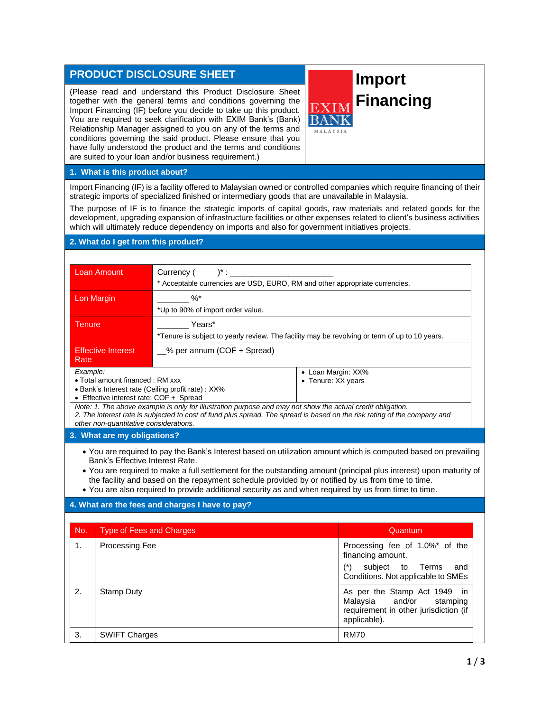## **PRODUCT DISCLOSURE SHEET**

(Please read and understand this Product Disclosure Sheet together with the general terms and conditions governing the Import Financing (IF) before you decide to take up this product. You are required to seek clarification with EXIM Bank's (Bank) Relationship Manager assigned to you on any of the terms and conditions governing the said product. Please ensure that you have fully understood the product and the terms and conditions are suited to your loan and/or business requirement.)

# **Import Financing**

**MALAYSIA** 

## **1. What is this product about?**

Import Financing (IF) is a facility offered to Malaysian owned or controlled companies which require financing of their strategic imports of specialized finished or intermediary goods that are unavailable in Malaysia.

The purpose of IF is to finance the strategic imports of capital goods, raw materials and related goods for the development, upgrading expansion of infrastructure facilities or other expenses related to client's business activities which will ultimately reduce dependency on imports and also for government initiatives projects.

## **2. What do I get from this product?**

| Loan Amount                                                                                                                                                                                                                                                                      | Currency (<br>$)^*$ :                                                                         |                                          |  |
|----------------------------------------------------------------------------------------------------------------------------------------------------------------------------------------------------------------------------------------------------------------------------------|-----------------------------------------------------------------------------------------------|------------------------------------------|--|
|                                                                                                                                                                                                                                                                                  | * Acceptable currencies are USD, EURO, RM and other appropriate currencies.                   |                                          |  |
| Lon Margin                                                                                                                                                                                                                                                                       | %*                                                                                            |                                          |  |
|                                                                                                                                                                                                                                                                                  | *Up to 90% of import order value.                                                             |                                          |  |
| Tenure                                                                                                                                                                                                                                                                           | Years*                                                                                        |                                          |  |
|                                                                                                                                                                                                                                                                                  | *Tenure is subject to yearly review. The facility may be revolving or term of up to 10 years. |                                          |  |
| <b>Effective Interest</b><br>Rate                                                                                                                                                                                                                                                | % per annum (COF + Spread)                                                                    |                                          |  |
| Example:<br>• Total amount financed: RM xxx<br>• Bank's Interest rate (Ceiling profit rate) : XX%<br>• Effective interest rate: COF + Spread                                                                                                                                     |                                                                                               | • Loan Margin: XX%<br>• Tenure: XX years |  |
| Note: 1. The above example is only for illustration purpose and may not show the actual credit obligation.<br>2. The interest rate is subjected to cost of fund plus spread. The spread is based on the risk rating of the company and<br>other non-quantitative considerations. |                                                                                               |                                          |  |

#### **3. What are my obligations?**

• You are required to pay the Bank's Interest based on utilization amount which is computed based on prevailing Bank's Effective Interest Rate.

• You are required to make a full settlement for the outstanding amount (principal plus interest) upon maturity of the facility and based on the repayment schedule provided by or notified by us from time to time.

• You are also required to provide additional security as and when required by us from time to time.

### **4. What are the fees and charges I have to pay?**

| No. | <b>Type of Fees and Charges</b> | Quantum                                                                                                              |
|-----|---------------------------------|----------------------------------------------------------------------------------------------------------------------|
| 1.  | Processing Fee                  | Processing fee of 1.0%* of the<br>financing amount.                                                                  |
|     |                                 | (*)<br>subject to Terms<br>and<br>Conditions. Not applicable to SMEs                                                 |
| 2.  | Stamp Duty                      | As per the Stamp Act 1949 in<br>Malaysia and/or<br>stamping<br>requirement in other jurisdiction (if<br>applicable). |
| 3.  | <b>SWIFT Charges</b>            | <b>RM70</b>                                                                                                          |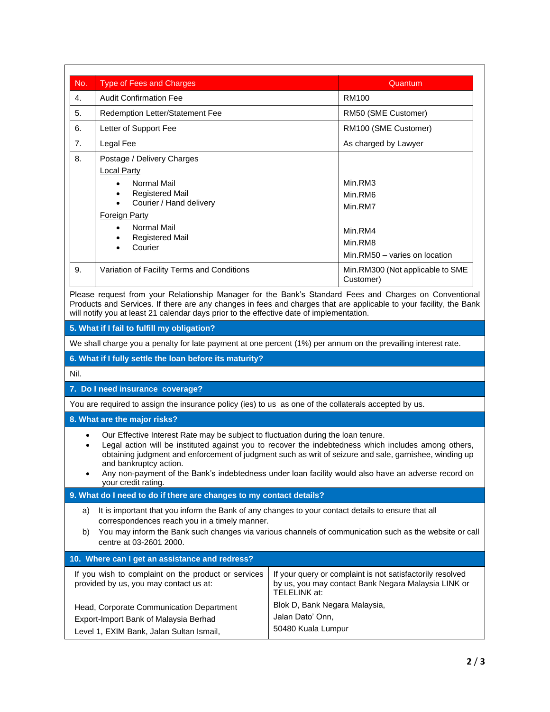| No.                                                                                                                                                                                                                                                                                                                                                                                                                                                                                   | <b>Type of Fees and Charges</b>                                                                                                                                                                                                                                                          | Quantum                                                                                                                                                                                                                      |  |  |
|---------------------------------------------------------------------------------------------------------------------------------------------------------------------------------------------------------------------------------------------------------------------------------------------------------------------------------------------------------------------------------------------------------------------------------------------------------------------------------------|------------------------------------------------------------------------------------------------------------------------------------------------------------------------------------------------------------------------------------------------------------------------------------------|------------------------------------------------------------------------------------------------------------------------------------------------------------------------------------------------------------------------------|--|--|
| 4.                                                                                                                                                                                                                                                                                                                                                                                                                                                                                    | <b>Audit Confirmation Fee</b>                                                                                                                                                                                                                                                            | <b>RM100</b>                                                                                                                                                                                                                 |  |  |
| 5.<br>Redemption Letter/Statement Fee                                                                                                                                                                                                                                                                                                                                                                                                                                                 |                                                                                                                                                                                                                                                                                          | RM50 (SME Customer)                                                                                                                                                                                                          |  |  |
| Letter of Support Fee<br>6.                                                                                                                                                                                                                                                                                                                                                                                                                                                           |                                                                                                                                                                                                                                                                                          | RM100 (SME Customer)                                                                                                                                                                                                         |  |  |
| 7.                                                                                                                                                                                                                                                                                                                                                                                                                                                                                    | Legal Fee                                                                                                                                                                                                                                                                                | As charged by Lawyer                                                                                                                                                                                                         |  |  |
| 8.                                                                                                                                                                                                                                                                                                                                                                                                                                                                                    | Postage / Delivery Charges<br><b>Local Party</b><br>Normal Mail<br>$\bullet$<br><b>Registered Mail</b><br>$\bullet$                                                                                                                                                                      | Min.RM3<br>Min.RM6                                                                                                                                                                                                           |  |  |
|                                                                                                                                                                                                                                                                                                                                                                                                                                                                                       | Courier / Hand delivery<br>$\bullet$<br><b>Foreign Party</b><br>Normal Mail<br>٠<br>Registered Mail<br>$\bullet$<br>Courier<br>$\bullet$                                                                                                                                                 | Min.RM7<br>Min.RM4<br>Min.RM8<br>Min.RM50 - varies on location                                                                                                                                                               |  |  |
| 9.                                                                                                                                                                                                                                                                                                                                                                                                                                                                                    | Variation of Facility Terms and Conditions                                                                                                                                                                                                                                               | Min.RM300 (Not applicable to SME<br>Customer)                                                                                                                                                                                |  |  |
|                                                                                                                                                                                                                                                                                                                                                                                                                                                                                       | will notify you at least 21 calendar days prior to the effective date of implementation.                                                                                                                                                                                                 | Please request from your Relationship Manager for the Bank's Standard Fees and Charges on Conventional<br>Products and Services. If there are any changes in fees and charges that are applicable to your facility, the Bank |  |  |
|                                                                                                                                                                                                                                                                                                                                                                                                                                                                                       | 5. What if I fail to fulfill my obligation?                                                                                                                                                                                                                                              |                                                                                                                                                                                                                              |  |  |
|                                                                                                                                                                                                                                                                                                                                                                                                                                                                                       |                                                                                                                                                                                                                                                                                          | We shall charge you a penalty for late payment at one percent (1%) per annum on the prevailing interest rate.                                                                                                                |  |  |
|                                                                                                                                                                                                                                                                                                                                                                                                                                                                                       | 6. What if I fully settle the loan before its maturity?                                                                                                                                                                                                                                  |                                                                                                                                                                                                                              |  |  |
| Nil.                                                                                                                                                                                                                                                                                                                                                                                                                                                                                  |                                                                                                                                                                                                                                                                                          |                                                                                                                                                                                                                              |  |  |
|                                                                                                                                                                                                                                                                                                                                                                                                                                                                                       | 7. Do I need insurance coverage?                                                                                                                                                                                                                                                         |                                                                                                                                                                                                                              |  |  |
|                                                                                                                                                                                                                                                                                                                                                                                                                                                                                       | You are required to assign the insurance policy (ies) to us as one of the collaterals accepted by us.                                                                                                                                                                                    |                                                                                                                                                                                                                              |  |  |
| 8. What are the major risks?                                                                                                                                                                                                                                                                                                                                                                                                                                                          |                                                                                                                                                                                                                                                                                          |                                                                                                                                                                                                                              |  |  |
| Our Effective Interest Rate may be subject to fluctuation during the loan tenure.<br>$\bullet$<br>Legal action will be instituted against you to recover the indebtedness which includes among others,<br>obtaining judgment and enforcement of judgment such as writ of seizure and sale, garnishee, winding up<br>and bankruptcy action.<br>Any non-payment of the Bank's indebtedness under loan facility would also have an adverse record on<br>$\bullet$<br>your credit rating. |                                                                                                                                                                                                                                                                                          |                                                                                                                                                                                                                              |  |  |
| 9. What do I need to do if there are changes to my contact details?                                                                                                                                                                                                                                                                                                                                                                                                                   |                                                                                                                                                                                                                                                                                          |                                                                                                                                                                                                                              |  |  |
| a)<br>b)                                                                                                                                                                                                                                                                                                                                                                                                                                                                              | It is important that you inform the Bank of any changes to your contact details to ensure that all<br>correspondences reach you in a timely manner.<br>You may inform the Bank such changes via various channels of communication such as the website or call<br>centre at 03-2601 2000. |                                                                                                                                                                                                                              |  |  |
| 10. Where can I get an assistance and redress?                                                                                                                                                                                                                                                                                                                                                                                                                                        |                                                                                                                                                                                                                                                                                          |                                                                                                                                                                                                                              |  |  |
| If you wish to complaint on the product or services<br>If your query or complaint is not satisfactorily resolved<br>provided by us, you may contact us at:<br>by us, you may contact Bank Negara Malaysia LINK or<br>TELELINK at:                                                                                                                                                                                                                                                     |                                                                                                                                                                                                                                                                                          |                                                                                                                                                                                                                              |  |  |
|                                                                                                                                                                                                                                                                                                                                                                                                                                                                                       | Head, Corporate Communication Department<br>Export-Import Bank of Malaysia Berhad<br>Level 1, EXIM Bank, Jalan Sultan Ismail,                                                                                                                                                            | Blok D, Bank Negara Malaysia,<br>Jalan Dato' Onn,<br>50480 Kuala Lumpur                                                                                                                                                      |  |  |